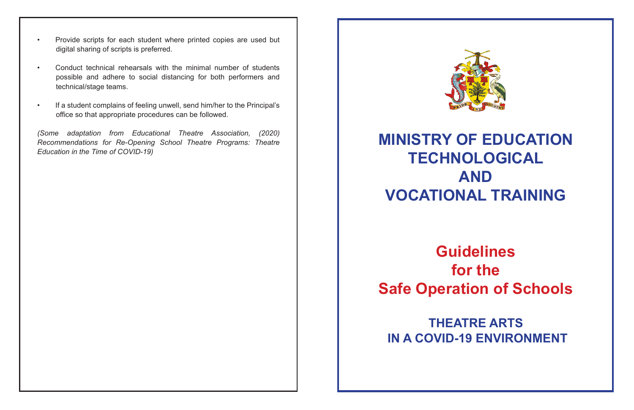- Provide scripts for each student where printed copies are used but digital sharing of scripts is preferred.
- • Conduct technical rehearsals with the minimal number of students possible and adhere to social distancing for both performers and technical/stage teams.
- If a student complains of feeling unwell, send him/her to the Principal's office so that appropriate procedures can be followed.

*(Some adaptation from Educational Theatre Association, (2020) Recommendations for Re-Opening School Theatre Programs: Theatre Education in the Time of COVID-19)*



## **MINISTRY OF EDUCATION TECHNOLOGICAL AND VOCATIONAL TRAINING**

**Guidelines for the Safe Operation of Schools**

**THEATRE ARTS IN A COVID-19 ENVIRONMENT**